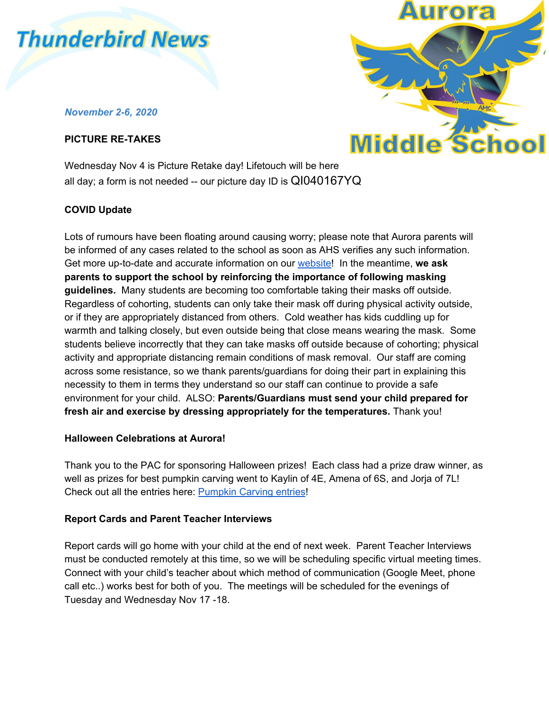

## *November 2-6, 2020*

## **PICTURE RE-TAKES**



Wednesday Nov 4 is Picture Retake day! Lifetouch will be here all day; a form is not needed -- our picture day ID is QI040167YQ

# **COVID Update**

Lots of rumours have been floating around causing worry; please note that Aurora parents will be informed of any cases related to the school as soon as AHS verifies any such information. Get more up-to-date and accurate information on our [website!](https://www.auroramiddleschool.ca/home/news/post/covid-update) In the meantime, **we ask parents to support the school by reinforcing the importance of following masking guidelines.** Many students are becoming too comfortable taking their masks off outside. Regardless of cohorting, students can only take their mask off during physical activity outside, or if they are appropriately distanced from others. Cold weather has kids cuddling up for warmth and talking closely, but even outside being that close means wearing the mask. Some students believe incorrectly that they can take masks off outside because of cohorting; physical activity and appropriate distancing remain conditions of mask removal. Our staff are coming across some resistance, so we thank parents/guardians for doing their part in explaining this necessity to them in terms they understand so our staff can continue to provide a safe environment for your child. ALSO: **Parents/Guardians must send your child prepared for fresh air and exercise by dressing appropriately for the temperatures.** Thank you!

### **Halloween Celebrations at Aurora!**

Thank you to the PAC for sponsoring Halloween prizes! Each class had a prize draw winner, as well as prizes for best pumpkin carving went to Kaylin of 4E, Amena of 6S, and Jorja of 7L! Check out all the entries here: [Pumpkin](https://www.facebook.com/watch/?v=1858268907663287) Carving entries!

### **Report Cards and Parent Teacher Interviews**

Report cards will go home with your child at the end of next week. Parent Teacher Interviews must be conducted remotely at this time, so we will be scheduling specific virtual meeting times. Connect with your child's teacher about which method of communication (Google Meet, phone call etc..) works best for both of you. The meetings will be scheduled for the evenings of Tuesday and Wednesday Nov 17 -18.